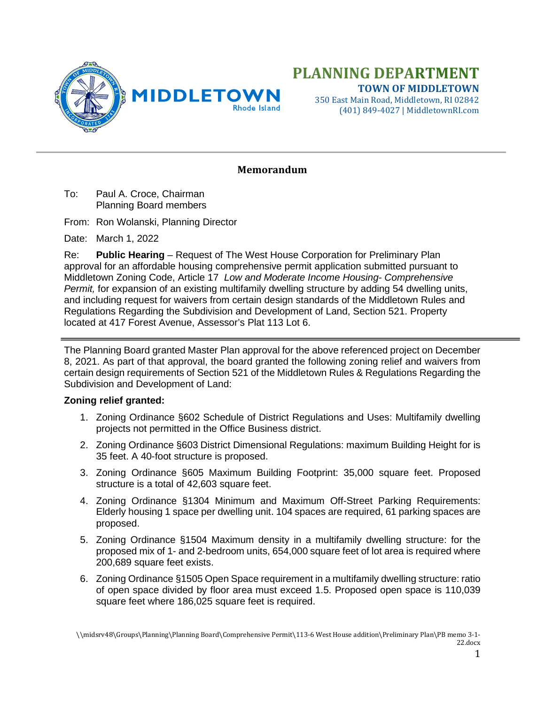

# **PLANNING DEPARTMENT TOWN OF MIDDLETOWN**

350 East Main Road, Middletown, RI 02842 (401) 849-4027 | MiddletownRI.com

#### **Memorandum**

To: Paul A. Croce, Chairman Planning Board members

From: Ron Wolanski, Planning Director

Date: March 1, 2022

Re: **Public Hearing** – Request of The West House Corporation for Preliminary Plan approval for an affordable housing comprehensive permit application submitted pursuant to Middletown Zoning Code, Article 17 *Low and Moderate Income Housing- Comprehensive Permit,* for expansion of an existing multifamily dwelling structure by adding 54 dwelling units, and including request for waivers from certain design standards of the Middletown Rules and Regulations Regarding the Subdivision and Development of Land, Section 521. Property located at 417 Forest Avenue, Assessor's Plat 113 Lot 6.

The Planning Board granted Master Plan approval for the above referenced project on December 8, 2021. As part of that approval, the board granted the following zoning relief and waivers from certain design requirements of Section 521 of the Middletown Rules & Regulations Regarding the Subdivision and Development of Land:

#### **Zoning relief granted:**

- 1. Zoning Ordinance §602 Schedule of District Regulations and Uses: Multifamily dwelling projects not permitted in the Office Business district.
- 2. Zoning Ordinance §603 District Dimensional Regulations: maximum Building Height for is 35 feet. A 40-foot structure is proposed.
- 3. Zoning Ordinance §605 Maximum Building Footprint: 35,000 square feet. Proposed structure is a total of 42,603 square feet.
- 4. Zoning Ordinance §1304 Minimum and Maximum Off-Street Parking Requirements: Elderly housing 1 space per dwelling unit. 104 spaces are required, 61 parking spaces are proposed.
- 5. Zoning Ordinance §1504 Maximum density in a multifamily dwelling structure: for the proposed mix of 1- and 2-bedroom units, 654,000 square feet of lot area is required where 200,689 square feet exists.
- 6. Zoning Ordinance §1505 Open Space requirement in a multifamily dwelling structure: ratio of open space divided by floor area must exceed 1.5. Proposed open space is 110,039 square feet where 186,025 square feet is required.

\\midsrv48\Groups\Planning\Planning Board\Comprehensive Permit\113-6 West House addition\Preliminary Plan\PB memo 3-1- 22.docx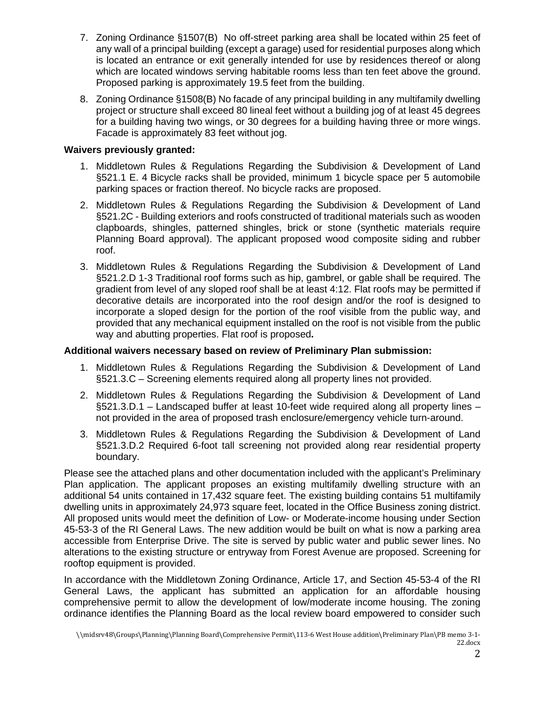- 7. Zoning Ordinance §1507(B) No off-street parking area shall be located within 25 feet of any wall of a principal building (except a garage) used for residential purposes along which is located an entrance or exit generally intended for use by residences thereof or along which are located windows serving habitable rooms less than ten feet above the ground. Proposed parking is approximately 19.5 feet from the building.
- 8. Zoning Ordinance §1508(B) No facade of any principal building in any multifamily dwelling project or structure shall exceed 80 lineal feet without a building jog of at least 45 degrees for a building having two wings, or 30 degrees for a building having three or more wings. Facade is approximately 83 feet without jog.

#### **Waivers previously granted:**

- 1. Middletown Rules & Regulations Regarding the Subdivision & Development of Land §521.1 E. 4 Bicycle racks shall be provided, minimum 1 bicycle space per 5 automobile parking spaces or fraction thereof. No bicycle racks are proposed.
- 2. Middletown Rules & Regulations Regarding the Subdivision & Development of Land §521.2C - Building exteriors and roofs constructed of traditional materials such as wooden clapboards, shingles, patterned shingles, brick or stone (synthetic materials require Planning Board approval). The applicant proposed wood composite siding and rubber roof.
- 3. Middletown Rules & Regulations Regarding the Subdivision & Development of Land §521.2.D 1-3 Traditional roof forms such as hip, gambrel, or gable shall be required. The gradient from level of any sloped roof shall be at least 4:12. Flat roofs may be permitted if decorative details are incorporated into the roof design and/or the roof is designed to incorporate a sloped design for the portion of the roof visible from the public way, and provided that any mechanical equipment installed on the roof is not visible from the public way and abutting properties. Flat roof is proposed**.**

#### **Additional waivers necessary based on review of Preliminary Plan submission:**

- 1. Middletown Rules & Regulations Regarding the Subdivision & Development of Land §521.3.C – Screening elements required along all property lines not provided.
- 2. Middletown Rules & Regulations Regarding the Subdivision & Development of Land §521.3.D.1 – Landscaped buffer at least 10-feet wide required along all property lines – not provided in the area of proposed trash enclosure/emergency vehicle turn-around.
- 3. Middletown Rules & Regulations Regarding the Subdivision & Development of Land §521.3.D.2 Required 6-foot tall screening not provided along rear residential property boundary.

Please see the attached plans and other documentation included with the applicant's Preliminary Plan application. The applicant proposes an existing multifamily dwelling structure with an additional 54 units contained in 17,432 square feet. The existing building contains 51 multifamily dwelling units in approximately 24,973 square feet, located in the Office Business zoning district. All proposed units would meet the definition of Low- or Moderate-income housing under Section 45-53-3 of the RI General Laws. The new addition would be built on what is now a parking area accessible from Enterprise Drive. The site is served by public water and public sewer lines. No alterations to the existing structure or entryway from Forest Avenue are proposed. Screening for rooftop equipment is provided.

In accordance with the Middletown Zoning Ordinance, Article 17, and Section 45-53-4 of the RI General Laws, the applicant has submitted an application for an affordable housing comprehensive permit to allow the development of low/moderate income housing. The zoning ordinance identifies the Planning Board as the local review board empowered to consider such

<sup>\\</sup>midsrv48\Groups\Planning\Planning Board\Comprehensive Permit\113-6 West House addition\Preliminary Plan\PB memo 3-1- 22.docx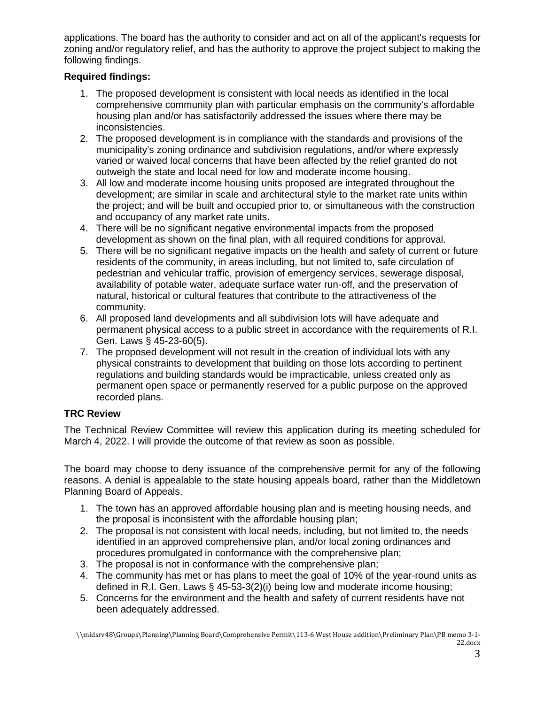applications. The board has the authority to consider and act on all of the applicant's requests for zoning and/or regulatory relief, and has the authority to approve the project subject to making the following findings.

### **Required findings:**

- 1. The proposed development is consistent with local needs as identified in the local comprehensive community plan with particular emphasis on the community's affordable housing plan and/or has satisfactorily addressed the issues where there may be inconsistencies.
- 2. The proposed development is in compliance with the standards and provisions of the municipality's zoning ordinance and subdivision regulations, and/or where expressly varied or waived local concerns that have been affected by the relief granted do not outweigh the state and local need for low and moderate income housing.
- 3. All low and moderate income housing units proposed are integrated throughout the development; are similar in scale and architectural style to the market rate units within the project; and will be built and occupied prior to, or simultaneous with the construction and occupancy of any market rate units.
- 4. There will be no significant negative environmental impacts from the proposed development as shown on the final plan, with all required conditions for approval.
- 5. There will be no significant negative impacts on the health and safety of current or future residents of the community, in areas including, but not limited to, safe circulation of pedestrian and vehicular traffic, provision of emergency services, sewerage disposal, availability of potable water, adequate surface water run-off, and the preservation of natural, historical or cultural features that contribute to the attractiveness of the community.
- 6. All proposed land developments and all subdivision lots will have adequate and permanent physical access to a public street in accordance with the requirements of R.I. Gen. Laws § 45-23-60(5).
- 7. The proposed development will not result in the creation of individual lots with any physical constraints to development that building on those lots according to pertinent regulations and building standards would be impracticable, unless created only as permanent open space or permanently reserved for a public purpose on the approved recorded plans.

## **TRC Review**

The Technical Review Committee will review this application during its meeting scheduled for March 4, 2022. I will provide the outcome of that review as soon as possible.

The board may choose to deny issuance of the comprehensive permit for any of the following reasons. A denial is appealable to the state housing appeals board, rather than the Middletown Planning Board of Appeals.

- 1. The town has an approved affordable housing plan and is meeting housing needs, and the proposal is inconsistent with the affordable housing plan;
- 2. The proposal is not consistent with local needs, including, but not limited to, the needs identified in an approved comprehensive plan, and/or local zoning ordinances and procedures promulgated in conformance with the comprehensive plan;
- 3. The proposal is not in conformance with the comprehensive plan;
- 4. The community has met or has plans to meet the goal of 10% of the year-round units as defined in R.I. Gen. Laws § 45-53-3(2)(i) being low and moderate income housing;
- 5. Concerns for the environment and the health and safety of current residents have not been adequately addressed.